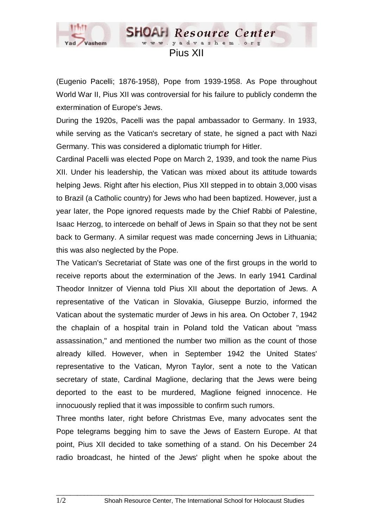

## www.yadvashem.o Pius XII

**SHOAH** Resource Center

(Eugenio Pacelli; 1876-1958), Pope from 1939-1958. As Pope throughout World War II, Pius XII was controversial for his failure to publicly condemn the extermination of Europe's Jews.

During the 1920s, Pacelli was the papal ambassador to Germany. In 1933, while serving as the Vatican's secretary of state, he signed a pact with Nazi Germany. This was considered a diplomatic triumph for Hitler.

Cardinal Pacelli was elected Pope on March 2, 1939, and took the name Pius XII. Under his leadership, the Vatican was mixed about its attitude towards helping Jews. Right after his election, Pius XII stepped in to obtain 3,000 visas to Brazil (a Catholic country) for Jews who had been baptized. However, just a year later, the Pope ignored requests made by the Chief Rabbi of Palestine, Isaac Herzog, to intercede on behalf of Jews in Spain so that they not be sent back to Germany. A similar request was made concerning Jews in Lithuania; this was also neglected by the Pope.

The Vatican's Secretariat of State was one of the first groups in the world to receive reports about the extermination of the Jews. In early 1941 Cardinal Theodor Innitzer of Vienna told Pius XII about the deportation of Jews. A representative of the Vatican in Slovakia, Giuseppe Burzio, informed the Vatican about the systematic murder of Jews in his area. On October 7, 1942 the chaplain of a hospital train in Poland told the Vatican about "mass assassination," and mentioned the number two million as the count of those already killed. However, when in September 1942 the United States' representative to the Vatican, Myron Taylor, sent a note to the Vatican secretary of state, Cardinal Maglione, declaring that the Jews were being deported to the east to be murdered, Maglione feigned innocence. He innocuously replied that it was impossible to confirm such rumors.

Three months later, right before Christmas Eve, many advocates sent the Pope telegrams begging him to save the Jews of Eastern Europe. At that point, Pius XII decided to take something of a stand. On his December 24 radio broadcast, he hinted of the Jews' plight when he spoke about the

 $\_$  ,  $\_$  ,  $\_$  ,  $\_$  ,  $\_$  ,  $\_$  ,  $\_$  ,  $\_$  ,  $\_$  ,  $\_$  ,  $\_$  ,  $\_$  ,  $\_$  ,  $\_$  ,  $\_$  ,  $\_$  ,  $\_$  ,  $\_$  ,  $\_$